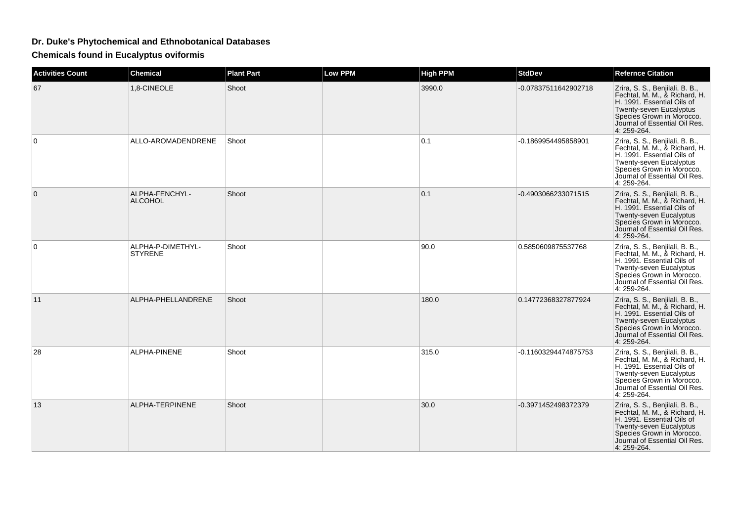## **Dr. Duke's Phytochemical and Ethnobotanical Databases**

**Chemicals found in Eucalyptus oviformis**

| <b>Activities Count</b> | <b>Chemical</b>                     | <b>Plant Part</b> | Low PPM | <b>High PPM</b> | <b>StdDev</b>        | <b>Refernce Citation</b>                                                                                                                                                                               |
|-------------------------|-------------------------------------|-------------------|---------|-----------------|----------------------|--------------------------------------------------------------------------------------------------------------------------------------------------------------------------------------------------------|
| 67                      | 1,8-CINEOLE                         | Shoot             |         | 3990.0          | -0.07837511642902718 | Zrira, S. S., Benjilali, B. B.,<br>Fechtal, M. M., & Richard, H.<br>H. 1991. Essential Oils of<br>Twenty-seven Eucalyptus<br>Species Grown in Morocco.<br>Journal of Essential Oil Res.<br>4: 259-264. |
| 0                       | ALLO-AROMADENDRENE                  | Shoot             |         | 0.1             | -0.1869954495858901  | Zrira, S. S., Benjilali, B. B.,<br>Fechtal, M. M., & Richard, H.<br>H. 1991. Essential Oils of<br>Twenty-seven Eucalyptus<br>Species Grown in Morocco.<br>Journal of Essential Oil Res.<br>4:259-264.  |
| $\Omega$                | ALPHA-FENCHYL-<br><b>ALCOHOL</b>    | Shoot             |         | 0.1             | -0.4903066233071515  | Zrira, S. S., Benjilali, B. B.,<br>Fechtal, M. M., & Richard, H.<br>H. 1991. Essential Oils of<br>Twenty-seven Eucalyptus<br>Species Grown in Morocco.<br>Journal of Essential Oil Res.<br>4: 259-264. |
| $\Omega$                | ALPHA-P-DIMETHYL-<br><b>STYRENE</b> | Shoot             |         | 90.0            | 0.5850609875537768   | Zrira, S. S., Benjilali, B. B.,<br>Fechtal, M. M., & Richard, H.<br>H. 1991. Essential Oils of<br>Twenty-seven Eucalyptus<br>Species Grown in Morocco.<br>Journal of Essential Oil Res.<br>4:259-264.  |
| 11                      | ALPHA-PHELLANDRENE                  | Shoot             |         | 180.0           | 0.14772368327877924  | Zrira, S. S., Benjilali, B. B.,<br>Fechtal, M. M., & Richard, H.<br>H. 1991. Essential Oils of<br>Twenty-seven Eucalyptus<br>Species Grown in Morocco.<br>Journal of Essential Oil Res.<br>4: 259-264. |
| 28                      | ALPHA-PINENE                        | Shoot             |         | 315.0           | -0.11603294474875753 | Zrira, S. S., Benjilali, B. B.,<br>Fechtal, M. M., & Richard, H.<br>H. 1991. Essential Oils of<br>Twenty-seven Eucalyptus<br>Species Grown in Morocco.<br>Journal of Essential Oil Res.<br>4: 259-264. |
| 13                      | ALPHA-TERPINENE                     | Shoot             |         | 30.0            | -0.3971452498372379  | Zrira, S. S., Benjilali, B. B.,<br>Fechtal, M. M., & Richard, H.<br>H. 1991. Essential Oils of<br>Twenty-seven Eucalyptus<br>Species Grown in Morocco.<br>Journal of Essential Oil Res.<br>4: 259-264. |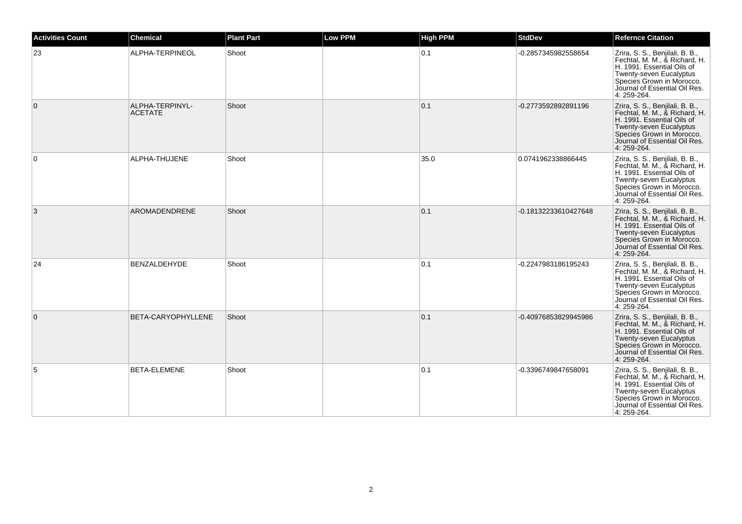| <b>Activities Count</b> | <b>Chemical</b>                   | <b>Plant Part</b> | <b>Low PPM</b> | <b>High PPM</b> | <b>StdDev</b>        | <b>Refernce Citation</b>                                                                                                                                                                                      |
|-------------------------|-----------------------------------|-------------------|----------------|-----------------|----------------------|---------------------------------------------------------------------------------------------------------------------------------------------------------------------------------------------------------------|
| 23                      | ALPHA-TERPINEOL                   | Shoot             |                | 0.1             | -0.2857345982558654  | Zrira, S. S., Benjilali, B. B.,<br>Fechtal, M. M., & Richard, H.<br>H. 1991. Essential Oils of<br>Twenty-seven Eucalyptus<br>Species Grown in Morocco.<br>Journal of Essential Oil Res.<br>4: 259-264.        |
| $\mathbf{0}$            | ALPHA-TERPINYL-<br><b>ACETATE</b> | Shoot             |                | 0.1             | -0.2773592892891196  | Zrira, S. S., Benjilali, B. B.,<br>Fechtal, M. M., & Richard, H.<br>H. 1991. Essential Oils of<br>Twenty-seven Eucalyptus<br>Species Grown in Morocco.<br>Journal of Essential Oil Res.<br>4: 259-264.        |
| 0                       | ALPHA-THUJENE                     | Shoot             |                | 35.0            | 0.0741962338866445   | Zrira, S. S., Benjilali, B. B.,<br>Fechtal, M. M., & Richard, H.<br>H. 1991. Essential Oils of<br>Twenty-seven Eucalyptus<br>Species Grown in Morocco.<br>Journal of Essential Oil Res.<br>4: 259-264.        |
| 3                       | AROMADENDRENE                     | Shoot             |                | 0.1             | -0.18132233610427648 | Zrira, S. S., Benjilali, B. B.,<br>Fechtal, M. M., & Richard, H.<br>H. 1991. Essential Oils of<br>Twenty-seven Eucalyptus<br>Species Grown in Morocco.<br>Journal of Essential Oil Res.<br>4: 259-264.        |
| 24                      | <b>BENZALDEHYDE</b>               | Shoot             |                | 0.1             | -0.2247983186195243  | Zrira, S. S., Benjilali, B. B.,<br>Fechtal, M. M., & Richard, H.<br>H. 1991. Essential Oils of<br><b>Twenty-seven Eucalyptus</b><br>Species Grown in Morocco.<br>Journal of Essential Oil Res.<br>4: 259-264. |
| $\mathbf{0}$            | BETA-CARYOPHYLLENE                | Shoot             |                | 0.1             | -0.40976853829945986 | Zrira, S. S., Benjilali, B. B.,<br>Fechtal, M. M., & Richard, H.<br>H. 1991. Essential Oils of<br>Twenty-seven Eucalyptus<br>Species Grown in Morocco.<br>Journal of Essential Oil Res.<br>4: 259-264.        |
| 5                       | BETA-ELEMENE                      | Shoot             |                | 0.1             | -0.3396749847658091  | Zrira, S. S., Benjilali, B. B.,<br>Fechtal, M. M., & Richard, H.<br>H. 1991. Essential Oils of<br>Twenty-seven Eucalyptus<br>Species Grown in Morocco.<br>Journal of Essential Oil Res.<br>4: 259-264.        |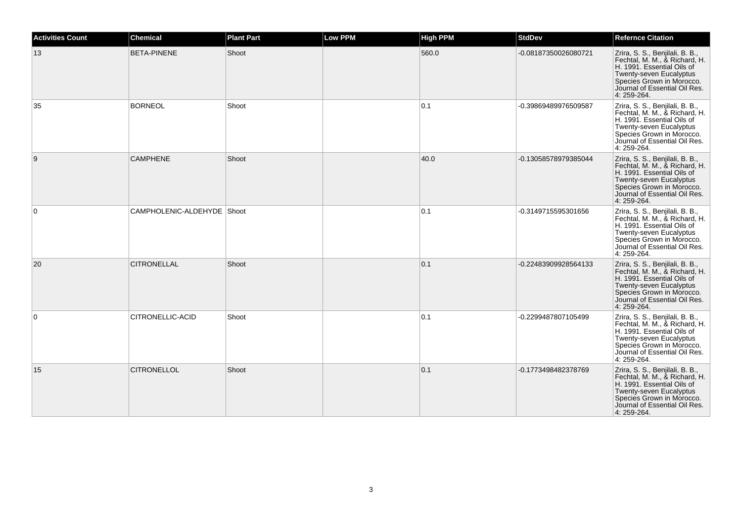| <b>Activities Count</b> | <b>Chemical</b>            | <b>Plant Part</b> | <b>Low PPM</b> | <b>High PPM</b> | <b>StdDev</b>        | <b>Refernce Citation</b>                                                                                                                                                                               |
|-------------------------|----------------------------|-------------------|----------------|-----------------|----------------------|--------------------------------------------------------------------------------------------------------------------------------------------------------------------------------------------------------|
| 13                      | <b>BETA-PINENE</b>         | Shoot             |                | 560.0           | -0.08187350026080721 | Zrira, S. S., Benjilali, B. B.,<br>Fechtal, M. M., & Richard, H.<br>H. 1991. Essential Oils of<br>Twenty-seven Eucalyptus<br>Species Grown in Morocco.<br>Journal of Essential Oil Res.<br>4: 259-264. |
| 35                      | <b>BORNEOL</b>             | Shoot             |                | 0.1             | -0.39869489976509587 | Zrira, S. S., Benjilali, B. B.,<br>Fechtal, M. M., & Richard, H.<br>H. 1991. Essential Oils of<br>Twenty-seven Eucalyptus<br>Species Grown in Morocco.<br>Journal of Essential Oil Res.<br>4: 259-264. |
| 9                       | <b>CAMPHENE</b>            | Shoot             |                | 40.0            | -0.13058578979385044 | Zrira, S. S., Benjilali, B. B.,<br>Fechtal, M. M., & Richard, H.<br>H. 1991. Essential Oils of<br>Twenty-seven Eucalyptus<br>Species Grown in Morocco.<br>Journal of Essential Oil Res.<br>4: 259-264. |
| $\Omega$                | CAMPHOLENIC-ALDEHYDE Shoot |                   |                | 0.1             | -0.3149715595301656  | Zrira, S. S., Benjilali, B. B.,<br>Fechtal, M. M., & Richard, H.<br>H. 1991. Essential Oils of<br>Twenty-seven Eucalyptus<br>Species Grown in Morocco.<br>Journal of Essential Oil Res.<br>4: 259-264. |
| 20                      | <b>CITRONELLAL</b>         | Shoot             |                | 0.1             | -0.22483909928564133 | Zrira, S. S., Benjilali, B. B.,<br>Fechtal, M. M., & Richard, H.<br>H. 1991. Essential Oils of<br>Twenty-seven Eucalyptus<br>Species Grown in Morocco.<br>Journal of Essential Oil Res.<br>4: 259-264. |
| $\Omega$                | CITRONELLIC-ACID           | Shoot             |                | 0.1             | -0.2299487807105499  | Zrira, S. S., Benjilali, B. B.,<br>Fechtal, M. M., & Richard, H.<br>H. 1991. Essential Oils of<br>Twenty-seven Eucalyptus<br>Species Grown in Morocco.<br>Journal of Essential Oil Res.<br>4: 259-264. |
| 15                      | <b>CITRONELLOL</b>         | Shoot             |                | 0.1             | -0.1773498482378769  | Zrira, S. S., Benjilali, B. B.,<br>Fechtal, M. M., & Richard, H.<br>H. 1991. Essential Oils of<br>Twenty-seven Eucalyptus<br>Species Grown in Morocco.<br>Journal of Essential Oil Res.<br>4: 259-264. |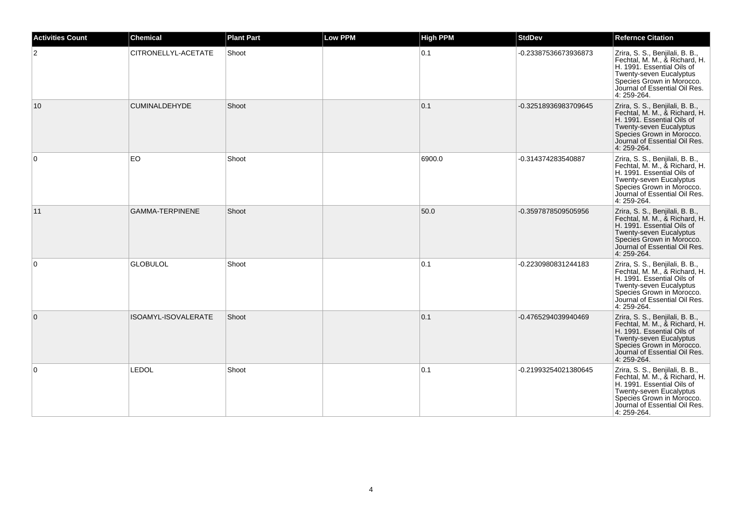| <b>Activities Count</b> | <b>Chemical</b>        | <b>Plant Part</b> | <b>Low PPM</b> | <b>High PPM</b> | <b>StdDev</b>        | <b>Refernce Citation</b>                                                                                                                                                                                      |
|-------------------------|------------------------|-------------------|----------------|-----------------|----------------------|---------------------------------------------------------------------------------------------------------------------------------------------------------------------------------------------------------------|
| 2                       | CITRONELLYL-ACETATE    | Shoot             |                | 0.1             | -0.23387536673936873 | Zrira, S. S., Benjilali, B. B.,<br>Fechtal, M. M., & Richard, H.<br>H. 1991. Essential Oils of<br>Twenty-seven Eucalyptus<br>Species Grown in Morocco.<br>Journal of Essential Oil Res.<br>4: 259-264.        |
| 10                      | <b>CUMINALDEHYDE</b>   | Shoot             |                | 0.1             | -0.32518936983709645 | Zrira, S. S., Benjilali, B. B.,<br>Fechtal, M. M., & Richard, H.<br>H. 1991. Essential Oils of<br>Twenty-seven Eucalyptus<br>Species Grown in Morocco.<br>Journal of Essential Oil Res.<br>4: 259-264.        |
| 0                       | EO                     | Shoot             |                | 6900.0          | -0.314374283540887   | Zrira, S. S., Benjilali, B. B.,<br>Fechtal, M. M., & Richard, H.<br>H. 1991. Essential Oils of<br>Twenty-seven Eucalyptus<br>Species Grown in Morocco.<br>Journal of Essential Oil Res.<br>4: 259-264.        |
| 11                      | <b>GAMMA-TERPINENE</b> | Shoot             |                | 50.0            | -0.3597878509505956  | Zrira, S. S., Benjilali, B. B.,<br>Fechtal, M. M., & Richard, H.<br>H. 1991. Essential Oils of<br>Twenty-seven Eucalyptus<br>Species Grown in Morocco.<br>Journal of Essential Oil Res.<br>4: 259-264.        |
| $\mathbf 0$             | <b>GLOBULOL</b>        | Shoot             |                | 0.1             | -0.2230980831244183  | Zrira, S. S., Benjilali, B. B.,<br>Fechtal, M. M., & Richard, H.<br>H. 1991. Essential Oils of<br><b>Twenty-seven Eucalyptus</b><br>Species Grown in Morocco.<br>Journal of Essential Oil Res.<br>4: 259-264. |
| $\mathbf{0}$            | ISOAMYL-ISOVALERATE    | Shoot             |                | 0.1             | -0.4765294039940469  | Zrira, S. S., Benjilali, B. B.,<br>Fechtal, M. M., & Richard, H.<br>H. 1991. Essential Oils of<br>Twenty-seven Eucalyptus<br>Species Grown in Morocco.<br>Journal of Essential Oil Res.<br>4: 259-264.        |
| $\mathbf 0$             | LEDOL                  | Shoot             |                | 0.1             | -0.21993254021380645 | Zrira, S. S., Benjilali, B. B.,<br>Fechtal, M. M., & Richard, H.<br>H. 1991. Essential Oils of<br>Twenty-seven Eucalyptus<br>Species Grown in Morocco.<br>Journal of Essential Oil Res.<br>4: 259-264.        |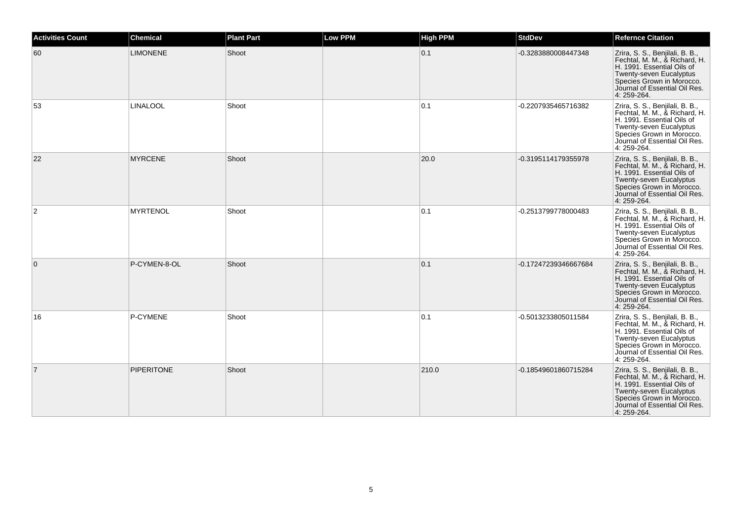| <b>Activities Count</b> | <b>Chemical</b>   | <b>Plant Part</b> | <b>Low PPM</b> | <b>High PPM</b> | <b>StdDev</b>        | <b>Refernce Citation</b>                                                                                                                                                                               |
|-------------------------|-------------------|-------------------|----------------|-----------------|----------------------|--------------------------------------------------------------------------------------------------------------------------------------------------------------------------------------------------------|
| 60                      | <b>LIMONENE</b>   | Shoot             |                | 0.1             | -0.3283880008447348  | Zrira, S. S., Benjilali, B. B.,<br>Fechtal, M. M., & Richard, H.<br>H. 1991. Essential Oils of<br>Twenty-seven Eucalyptus<br>Species Grown in Morocco.<br>Journal of Essential Oil Res.<br>4: 259-264. |
| 53                      | <b>LINALOOL</b>   | Shoot             |                | 0.1             | -0.2207935465716382  | Zrira, S. S., Benjilali, B. B.,<br>Fechtal, M. M., & Richard, H.<br>H. 1991. Essential Oils of<br>Twenty-seven Eucalyptus<br>Species Grown in Morocco.<br>Journal of Essential Oil Res.<br>4: 259-264. |
| 22                      | <b>MYRCENE</b>    | Shoot             |                | 20.0            | -0.3195114179355978  | Zrira, S. S., Benjilali, B. B.,<br>Fechtal, M. M., & Richard, H.<br>H. 1991. Essential Oils of<br>Twenty-seven Eucalyptus<br>Species Grown in Morocco.<br>Journal of Essential Oil Res.<br>4: 259-264. |
| $\overline{2}$          | <b>MYRTENOL</b>   | Shoot             |                | 0.1             | -0.2513799778000483  | Zrira, S. S., Benjilali, B. B.,<br>Fechtal, M. M., & Richard, H.<br>H. 1991. Essential Oils of<br>Twenty-seven Eucalyptus<br>Species Grown in Morocco.<br>Journal of Essential Oil Res.<br>4: 259-264. |
| $\overline{0}$          | P-CYMEN-8-OL      | Shoot             |                | 0.1             | -0.17247239346667684 | Zrira, S. S., Benjilali, B. B.,<br>Fechtal, M. M., & Richard, H.<br>H. 1991. Essential Oils of<br>Twenty-seven Eucalyptus<br>Species Grown in Morocco.<br>Journal of Essential Oil Res.<br>4: 259-264. |
| 16                      | P-CYMENE          | Shoot             |                | 0.1             | -0.5013233805011584  | Zrira, S. S., Benjilali, B. B.,<br>Fechtal, M. M., & Richard, H.<br>H. 1991. Essential Oils of<br>Twenty-seven Eucalyptus<br>Species Grown in Morocco.<br>Journal of Essential Oil Res.<br>4: 259-264. |
| $\overline{7}$          | <b>PIPERITONE</b> | Shoot             |                | 210.0           | -0.18549601860715284 | Zrira, S. S., Benjilali, B. B.,<br>Fechtal, M. M., & Richard, H.<br>H. 1991. Essential Oils of<br>Twenty-seven Eucalyptus<br>Species Grown in Morocco.<br>Journal of Essential Oil Res.<br>4: 259-264. |